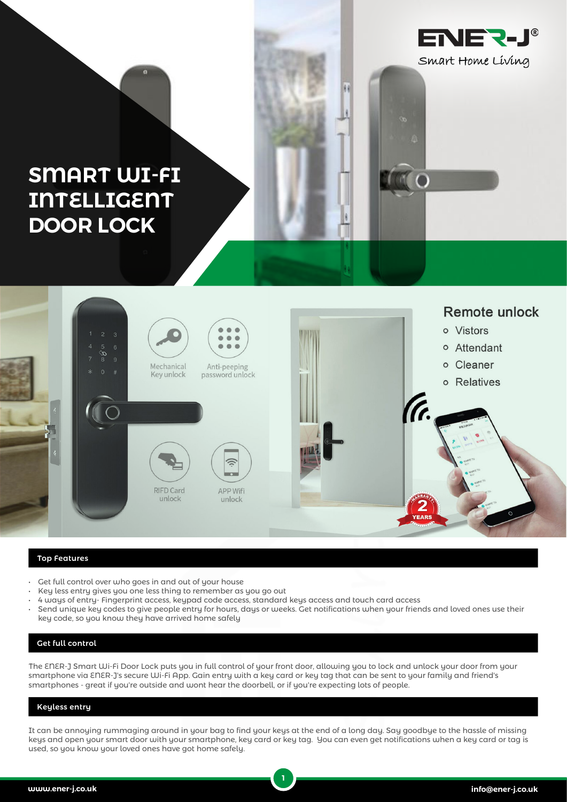

## **SMART WI-FI INTELLIGENT DOOR LOCK**



¥.

## Top Features

- Get full control over who goes in and out of your house
- Key less entry gives you one less thing to remember as you go out
- 4 ways of entry- Fingerprint access, keypad code access, standard keys access and touch card access
- Send unique key codes to give people entry for hours, days or weeks. Get notifications when your friends and loved ones use their key code, so you know they have arrived home safely

## Get full control

The ENER-J Smart Wi-Fi Door Lock puts you in full control of your front door, allowing you to lock and unlock your door from your smartphone via ENER-J's secure Wi-Fi App. Gain entry with a key card or key tag that can be sent to your family and friend's smartphones - great if you're outside and wont hear the doorbell, or if you're expecting lots of people.

## Keyless entry

It can be annoying rummaging around in your bag to find your keys at the end of a long day. Say goodbye to the hassle of missing keys and open your smart door with your smartphone, key card or key tag. You can even get notifications when a key card or tag is used, so you know your loved ones have got home safely.

**1**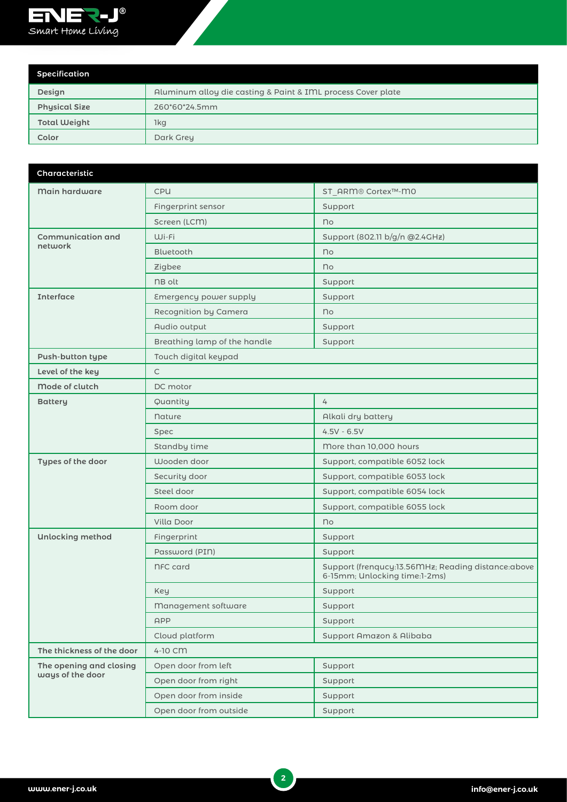

| Specification        |                                                              |
|----------------------|--------------------------------------------------------------|
| Design               | Aluminum alloy die casting & Paint & IML process Cover plate |
| <b>Physical Size</b> | 260*60*24.5mm                                                |
| <b>Total Weight</b>  | 1kg                                                          |
| Color                | Dark Grey                                                    |

| <b>Characteristic</b>                       |                              |                                                                                        |  |
|---------------------------------------------|------------------------------|----------------------------------------------------------------------------------------|--|
| Main hardware                               | <b>CPU</b>                   | ST ARM® Cortex™-M0                                                                     |  |
|                                             | Fingerprint sensor           | Support                                                                                |  |
|                                             | Screen (LCM)                 | no                                                                                     |  |
| <b>Communication and</b>                    | Wi-Fi                        | Support (802.11 b/g/n @2.4GHz)                                                         |  |
| network                                     | Bluetooth                    | no                                                                                     |  |
|                                             | Zigbee                       | no                                                                                     |  |
|                                             | <b>NB</b> olt                | Support                                                                                |  |
| <b>Interface</b>                            | Emergency power supply       | Support                                                                                |  |
|                                             | Recognition by Camera        | no                                                                                     |  |
|                                             | Audio output                 | Support                                                                                |  |
|                                             | Breathing lamp of the handle | Support                                                                                |  |
| <b>Push-button type</b>                     | Touch digital keypad         |                                                                                        |  |
| Level of the key                            | $\mathsf{C}$                 |                                                                                        |  |
| Mode of clutch                              | DC motor                     |                                                                                        |  |
| <b>Battery</b>                              | Quantity                     | 4                                                                                      |  |
|                                             | <b>Nature</b>                | Alkali dry battery                                                                     |  |
|                                             | Spec                         | $4.5V - 6.5V$                                                                          |  |
|                                             | Standby time                 | More than 10,000 hours                                                                 |  |
| Types of the door                           | Wooden door                  | Support, compatible 6052 lock                                                          |  |
|                                             | Security door                | Support, compatible 6053 lock                                                          |  |
|                                             | Steel door                   | Support, compatible 6054 lock                                                          |  |
|                                             | Room door                    | Support, compatible 6055 lock                                                          |  |
|                                             | Villa Door                   | no                                                                                     |  |
| <b>Unlocking method</b>                     | Fingerprint                  | Support                                                                                |  |
|                                             | Password (PIN)               | Support                                                                                |  |
|                                             | <b>NFC</b> card              | Support (frenqucy: 13.56 MHz; Reading distance: above<br>6-15mm; Unlocking time:1-2ms) |  |
|                                             | Key                          | Support                                                                                |  |
|                                             | Management software          | Support                                                                                |  |
|                                             | APP                          | Support                                                                                |  |
|                                             | Cloud platform               | Support Amazon & Alibaba                                                               |  |
| The thickness of the door                   | 4-10 CM                      |                                                                                        |  |
| The opening and closing<br>ways of the door | Open door from left          | Support                                                                                |  |
|                                             | Open door from right         | Support                                                                                |  |
|                                             | Open door from inside        | Support                                                                                |  |
|                                             | Open door from outside       | Support                                                                                |  |

**2**